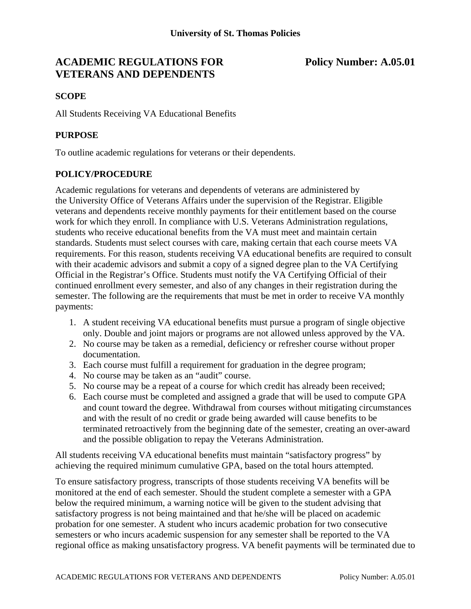# **ACADEMIC REGULATIONS FOR Policy Number: A.05.01 VETERANS AND DEPENDENTS**

### **SCOPE**

All Students Receiving VA Educational Benefits

### **PURPOSE**

To outline academic regulations for veterans or their dependents.

## **POLICY/PROCEDURE**

Academic regulations for veterans and dependents of veterans are administered by the University Office of Veterans Affairs under the supervision of the Registrar. Eligible veterans and dependents receive monthly payments for their entitlement based on the course work for which they enroll. In compliance with U.S. Veterans Administration regulations, students who receive educational benefits from the VA must meet and maintain certain standards. Students must select courses with care, making certain that each course meets VA requirements. For this reason, students receiving VA educational benefits are required to consult with their academic advisors and submit a copy of a signed degree plan to the VA Certifying Official in the Registrar's Office. Students must notify the VA Certifying Official of their continued enrollment every semester, and also of any changes in their registration during the semester. The following are the requirements that must be met in order to receive VA monthly payments:

- 1. A student receiving VA educational benefits must pursue a program of single objective only. Double and joint majors or programs are not allowed unless approved by the VA.
- 2. No course may be taken as a remedial, deficiency or refresher course without proper documentation.
- 3. Each course must fulfill a requirement for graduation in the degree program;
- 4. No course may be taken as an "audit" course.
- 5. No course may be a repeat of a course for which credit has already been received;
- 6. Each course must be completed and assigned a grade that will be used to compute GPA and count toward the degree. Withdrawal from courses without mitigating circumstances and with the result of no credit or grade being awarded will cause benefits to be terminated retroactively from the beginning date of the semester, creating an over-award and the possible obligation to repay the Veterans Administration.

All students receiving VA educational benefits must maintain "satisfactory progress" by achieving the required minimum cumulative GPA, based on the total hours attempted.

To ensure satisfactory progress, transcripts of those students receiving VA benefits will be monitored at the end of each semester. Should the student complete a semester with a GPA below the required minimum, a warning notice will be given to the student advising that satisfactory progress is not being maintained and that he/she will be placed on academic probation for one semester. A student who incurs academic probation for two consecutive semesters or who incurs academic suspension for any semester shall be reported to the VA regional office as making unsatisfactory progress. VA benefit payments will be terminated due to